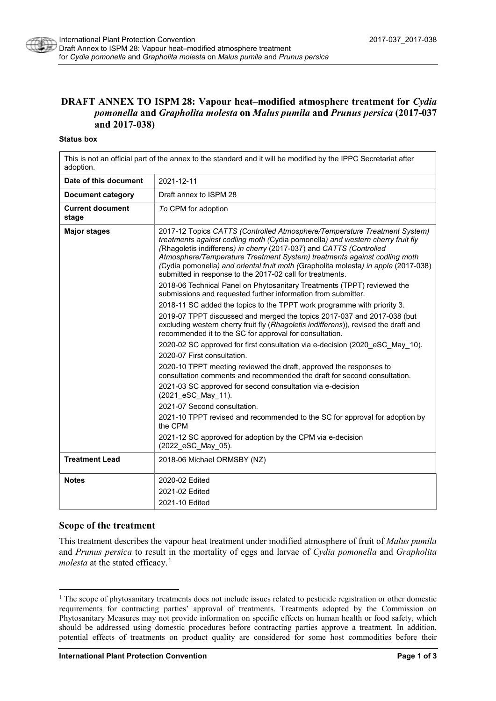

# **DRAFT ANNEX TO ISPM 28: Vapour heat–modified atmosphere treatment for** *Cydia pomonella* **and** *Grapholita molesta* **on** *Malus pumila* **and** *Prunus persica* **(2017-037 and 2017-038)**

#### **Status box**

This is not an official part of the annex to the standard and it will be modified by the IPPC Secretariat after adoption.

| Date of this document            | 2021-12-11                                                                                                                                                                                                                                                                                                                                                                                                                                                        |
|----------------------------------|-------------------------------------------------------------------------------------------------------------------------------------------------------------------------------------------------------------------------------------------------------------------------------------------------------------------------------------------------------------------------------------------------------------------------------------------------------------------|
| Document category                | Draft annex to ISPM 28                                                                                                                                                                                                                                                                                                                                                                                                                                            |
| <b>Current document</b><br>stage | To CPM for adoption                                                                                                                                                                                                                                                                                                                                                                                                                                               |
| <b>Major stages</b>              | 2017-12 Topics CATTS (Controlled Atmosphere/Temperature Treatment System)<br>treatments against codling moth (Cydia pomonella) and western cherry fruit fly<br>(Rhagoletis indifferens) in cherry (2017-037) and CATTS (Controlled<br>Atmosphere/Temperature Treatment System) treatments against codling moth<br>(Cydia pomonella) and oriental fruit moth (Grapholita molesta) in apple (2017-038)<br>submitted in response to the 2017-02 call for treatments. |
|                                  | 2018-06 Technical Panel on Phytosanitary Treatments (TPPT) reviewed the<br>submissions and requested further information from submitter.                                                                                                                                                                                                                                                                                                                          |
|                                  | 2018-11 SC added the topics to the TPPT work programme with priority 3.                                                                                                                                                                                                                                                                                                                                                                                           |
|                                  | 2019-07 TPPT discussed and merged the topics 2017-037 and 2017-038 (but<br>excluding western cherry fruit fly (Rhagoletis indifferens)), revised the draft and<br>recommended it to the SC for approval for consultation.                                                                                                                                                                                                                                         |
|                                  | 2020-02 SC approved for first consultation via e-decision (2020 eSC May 10).                                                                                                                                                                                                                                                                                                                                                                                      |
|                                  | 2020-07 First consultation.                                                                                                                                                                                                                                                                                                                                                                                                                                       |
|                                  | 2020-10 TPPT meeting reviewed the draft, approved the responses to<br>consultation comments and recommended the draft for second consultation.                                                                                                                                                                                                                                                                                                                    |
|                                  | 2021-03 SC approved for second consultation via e-decision<br>(2021 eSC May 11).                                                                                                                                                                                                                                                                                                                                                                                  |
|                                  | 2021-07 Second consultation.                                                                                                                                                                                                                                                                                                                                                                                                                                      |
|                                  | 2021-10 TPPT revised and recommended to the SC for approval for adoption by<br>the CPM                                                                                                                                                                                                                                                                                                                                                                            |
|                                  | 2021-12 SC approved for adoption by the CPM via e-decision<br>(2022 eSC May 05).                                                                                                                                                                                                                                                                                                                                                                                  |
| <b>Treatment Lead</b>            | 2018-06 Michael ORMSBY (NZ)                                                                                                                                                                                                                                                                                                                                                                                                                                       |
| <b>Notes</b>                     | 2020-02 Edited                                                                                                                                                                                                                                                                                                                                                                                                                                                    |
|                                  | 2021-02 Edited                                                                                                                                                                                                                                                                                                                                                                                                                                                    |
|                                  | 2021-10 Edited                                                                                                                                                                                                                                                                                                                                                                                                                                                    |
|                                  |                                                                                                                                                                                                                                                                                                                                                                                                                                                                   |

#### **Scope of the treatment**

This treatment describes the vapour heat treatment under modified atmosphere of fruit of *Malus pumila* and *Prunus persica* to result in the mortality of eggs and larvae of *Cydia pomonella* and *Grapholita molesta* at the stated efficacy.<sup>[1](#page-0-0)</sup>

<span id="page-0-0"></span><sup>&</sup>lt;sup>1</sup> The scope of phytosanitary treatments does not include issues related to pesticide registration or other domestic requirements for contracting parties' approval of treatments. Treatments adopted by the Commission on Phytosanitary Measures may not provide information on specific effects on human health or food safety, which should be addressed using domestic procedures before contracting parties approve a treatment. In addition, potential effects of treatments on product quality are considered for some host commodities before their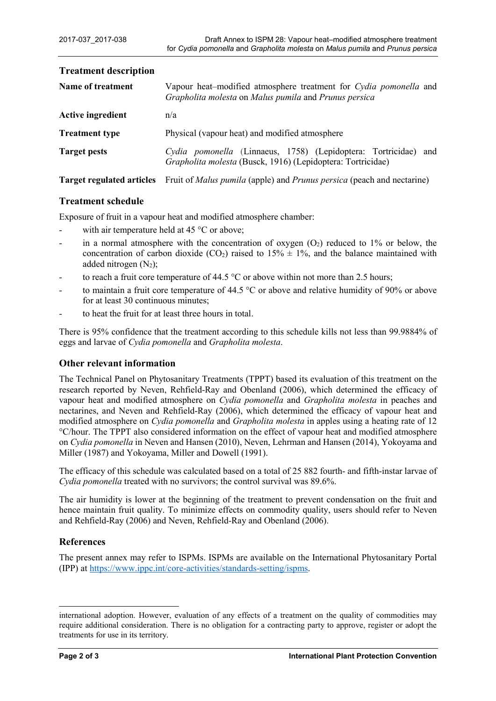| Name of treatment        | Vapour heat-modified atmosphere treatment for Cydia pomonella and<br>Grapholita molesta on Malus pumila and Prunus persica     |
|--------------------------|--------------------------------------------------------------------------------------------------------------------------------|
| <b>Active ingredient</b> | n/a                                                                                                                            |
| <b>Treatment type</b>    | Physical (vapour heat) and modified atmosphere                                                                                 |
| <b>Target pests</b>      | Cydia pomonella (Linnaeus, 1758) (Lepidoptera: Tortricidae) and<br>Grapholita molesta (Busck, 1916) (Lepidoptera: Tortricidae) |
|                          | <b>Target regulated articles</b> Fruit of <i>Malus pumila</i> (apple) and <i>Prunus persica</i> (peach and nectarine)          |

### **Treatment description**

## **Treatment schedule**

Exposure of fruit in a vapour heat and modified atmosphere chamber:

- with air temperature held at 45  $\degree$ C or above;
- in a normal atmosphere with the concentration of oxygen  $(O_2)$  reduced to 1% or below, the concentration of carbon dioxide (CO<sub>2</sub>) raised to  $15\% \pm 1\%$ , and the balance maintained with added nitrogen  $(N_2)$ ;
- to reach a fruit core temperature of 44.5  $^{\circ}$ C or above within not more than 2.5 hours;
- to maintain a fruit core temperature of 44.5  $\degree$ C or above and relative humidity of 90% or above for at least 30 continuous minutes;
- to heat the fruit for at least three hours in total.

There is 95% confidence that the treatment according to this schedule kills not less than 99.9884% of eggs and larvae of *Cydia pomonella* and *Grapholita molesta*.

### **Other relevant information**

The Technical Panel on Phytosanitary Treatments (TPPT) based its evaluation of this treatment on the research reported by Neven, Rehfield-Ray and Obenland (2006), which determined the efficacy of vapour heat and modified atmosphere on *Cydia pomonella* and *Grapholita molesta* in peaches and nectarines, and Neven and Rehfield-Ray (2006), which determined the efficacy of vapour heat and modified atmosphere on *Cydia pomonella* and *Grapholita molesta* in apples using a heating rate of 12 °C/hour. The TPPT also considered information on the effect of vapour heat and modified atmosphere on *Cydia pomonella* in Neven and Hansen (2010), Neven, Lehrman and Hansen (2014), Yokoyama and Miller (1987) and Yokoyama, Miller and Dowell (1991).

The efficacy of this schedule was calculated based on a total of 25 882 fourth- and fifth-instar larvae of *Cydia pomonella* treated with no survivors; the control survival was 89.6%.

The air humidity is lower at the beginning of the treatment to prevent condensation on the fruit and hence maintain fruit quality. To minimize effects on commodity quality, users should refer to Neven and Rehfield-Ray (2006) and Neven, Rehfield-Ray and Obenland (2006).

## **References**

The present annex may refer to ISPMs. ISPMs are available on the International Phytosanitary Portal (IPP) at [https://www.ippc.int/core-activities/standards-setting/ispms.](https://www.ippc.int/core-activities/standards-setting/ispms)

-

international adoption. However, evaluation of any effects of a treatment on the quality of commodities may require additional consideration. There is no obligation for a contracting party to approve, register or adopt the treatments for use in its territory.